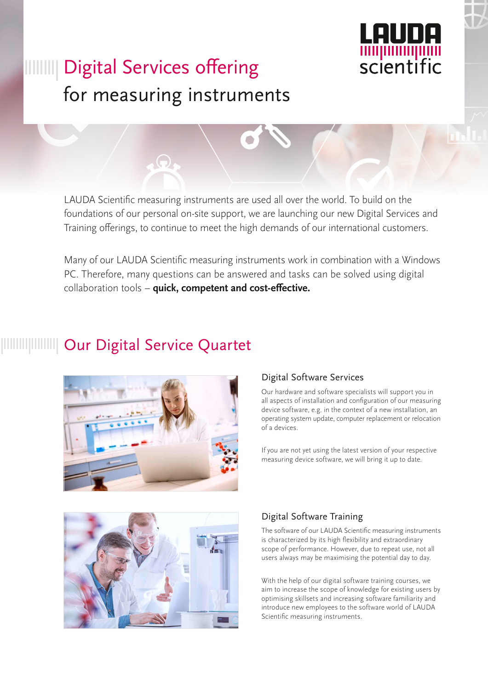

# **IIIIIIIII** Digital Services offering for measuring instruments

LAUDA Scientific measuring instruments are used all over the world. To build on the foundations of our personal on-site support, we are launching our new Digital Services and Training offerings, to continue to meet the high demands of our international customers.

Many of our LAUDA Scientific measuring instruments work in combination with a Windows PC. Therefore, many questions can be answered and tasks can be solved using digital collaboration tools – **quick, competent and cost-effective.**

# Our Digital Service Quartet



### Digital Software Services

Our hardware and software specialists will support you in all aspects of installation and configuration of our measuring device software, e.g. in the context of a new installation, an operating system update, computer replacement or relocation of a devices.

If you are not yet using the latest version of your respective measuring device software, we will bring it up to date.



### Digital Software Training

The software of our LAUDA Scientific measuring instruments is characterized by its high flexibility and extraordinary scope of performance. However, due to repeat use, not all users always may be maximising the potential day to day.

With the help of our digital software training courses, we aim to increase the scope of knowledge for existing users by optimising skillsets and increasing software familiarity and introduce new employees to the software world of LAUDA Scientific measuring instruments.